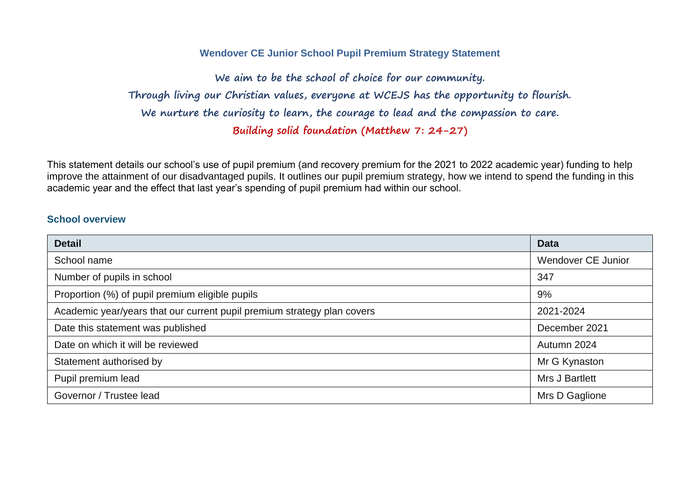#### **Wendover CE Junior School Pupil Premium Strategy Statement**

**We aim to be the school of choice for our community. Through living our Christian values, everyone at WCEJS has the opportunity to flourish. We nurture the curiosity to learn, the courage to lead and the compassion to care. Building solid foundation (Matthew 7: 24-27)**

This statement details our school's use of pupil premium (and recovery premium for the 2021 to 2022 academic year) funding to help improve the attainment of our disadvantaged pupils. It outlines our pupil premium strategy, how we intend to spend the funding in this academic year and the effect that last year's spending of pupil premium had within our school.

#### **School overview**

| <b>Detail</b>                                                           | <b>Data</b>           |
|-------------------------------------------------------------------------|-----------------------|
| School name                                                             | Wendover CE Junior    |
| Number of pupils in school                                              | 347                   |
| Proportion (%) of pupil premium eligible pupils                         | 9%                    |
| Academic year/years that our current pupil premium strategy plan covers | 2021-2024             |
| Date this statement was published                                       | December 2021         |
| Date on which it will be reviewed                                       | Autumn 2024           |
| Statement authorised by                                                 | Mr G Kynaston         |
| Pupil premium lead                                                      | <b>Mrs J Bartlett</b> |
| Governor / Trustee lead                                                 | Mrs D Gaglione        |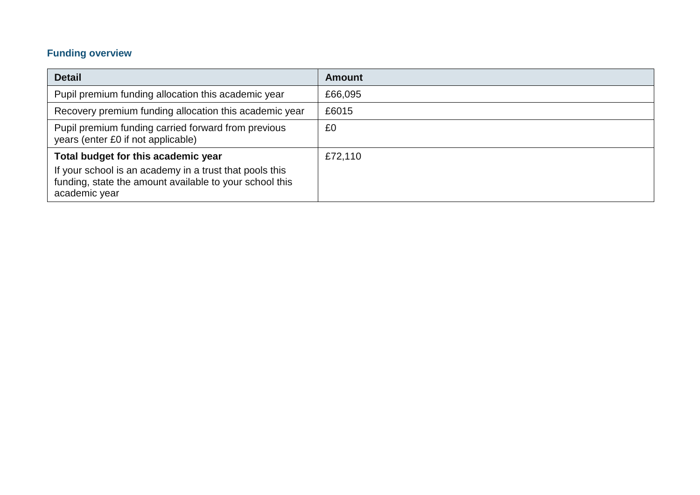# **Funding overview**

| <b>Detail</b>                                                                                                                                                              | <b>Amount</b> |
|----------------------------------------------------------------------------------------------------------------------------------------------------------------------------|---------------|
| Pupil premium funding allocation this academic year                                                                                                                        | £66,095       |
| Recovery premium funding allocation this academic year                                                                                                                     | £6015         |
| Pupil premium funding carried forward from previous<br>years (enter £0 if not applicable)                                                                                  | £0            |
| Total budget for this academic year<br>If your school is an academy in a trust that pools this<br>funding, state the amount available to your school this<br>academic year | £72,110       |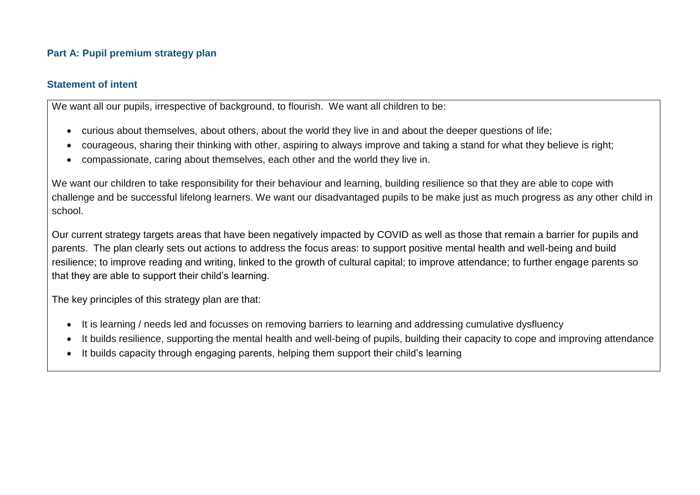## **Part A: Pupil premium strategy plan**

#### **Statement of intent**

We want all our pupils, irrespective of background, to flourish. We want all children to be:

- curious about themselves, about others, about the world they live in and about the deeper questions of life;
- courageous, sharing their thinking with other, aspiring to always improve and taking a stand for what they believe is right;
- compassionate, caring about themselves, each other and the world they live in.

We want our children to take responsibility for their behaviour and learning, building resilience so that they are able to cope with challenge and be successful lifelong learners. We want our disadvantaged pupils to be make just as much progress as any other child in school.

Our current strategy targets areas that have been negatively impacted by COVID as well as those that remain a barrier for pupils and parents. The plan clearly sets out actions to address the focus areas: to support positive mental health and well-being and build resilience; to improve reading and writing, linked to the growth of cultural capital; to improve attendance; to further engage parents so that they are able to support their child's learning.

The key principles of this strategy plan are that:

- It is learning / needs led and focusses on removing barriers to learning and addressing cumulative dysfluency
- It builds resilience, supporting the mental health and well-being of pupils, building their capacity to cope and improving attendance
- It builds capacity through engaging parents, helping them support their child's learning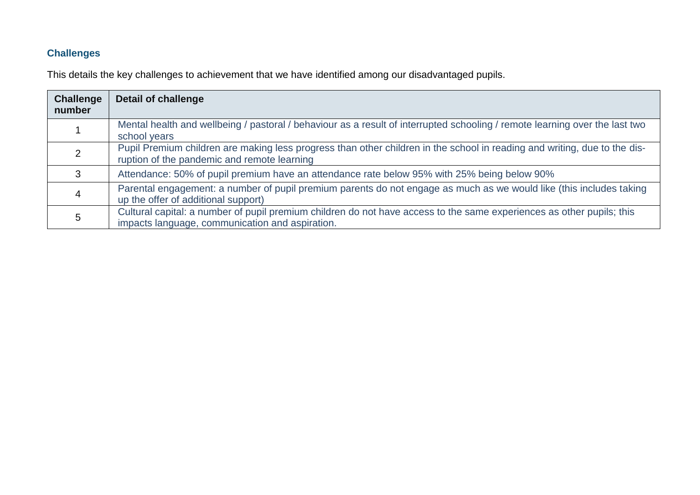# **Challenges**

This details the key challenges to achievement that we have identified among our disadvantaged pupils.

| <b>Challenge</b><br>number | <b>Detail of challenge</b>                                                                                                                                               |
|----------------------------|--------------------------------------------------------------------------------------------------------------------------------------------------------------------------|
|                            | Mental health and wellbeing / pastoral / behaviour as a result of interrupted schooling / remote learning over the last two<br>school years                              |
|                            | Pupil Premium children are making less progress than other children in the school in reading and writing, due to the dis-<br>ruption of the pandemic and remote learning |
|                            | Attendance: 50% of pupil premium have an attendance rate below 95% with 25% being below 90%                                                                              |
|                            | Parental engagement: a number of pupil premium parents do not engage as much as we would like (this includes taking<br>up the offer of additional support)               |
|                            | Cultural capital: a number of pupil premium children do not have access to the same experiences as other pupils; this<br>impacts language, communication and aspiration. |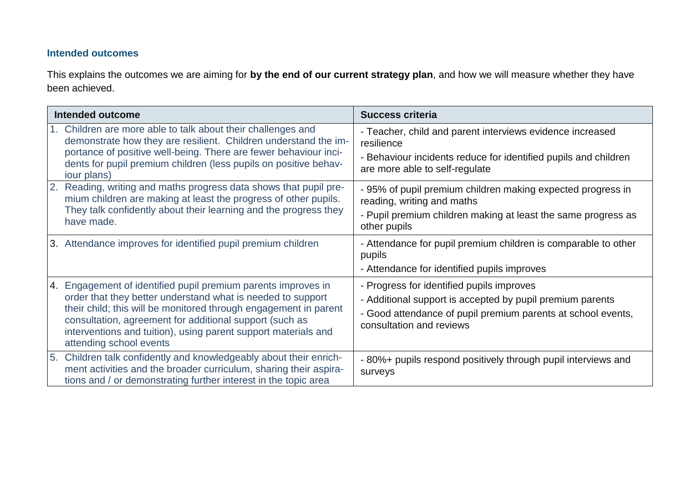## **Intended outcomes**

This explains the outcomes we are aiming for **by the end of our current strategy plan**, and how we will measure whether they have been achieved.

| Intended outcome                                                                                                                                                                                                                                                                                                                                         | <b>Success criteria</b>                                                                                                                                                                            |
|----------------------------------------------------------------------------------------------------------------------------------------------------------------------------------------------------------------------------------------------------------------------------------------------------------------------------------------------------------|----------------------------------------------------------------------------------------------------------------------------------------------------------------------------------------------------|
| 1. Children are more able to talk about their challenges and<br>demonstrate how they are resilient. Children understand the im-<br>portance of positive well-being. There are fewer behaviour inci-<br>dents for pupil premium children (less pupils on positive behav-<br>iour plans)                                                                   | - Teacher, child and parent interviews evidence increased<br>resilience<br>- Behaviour incidents reduce for identified pupils and children<br>are more able to self-regulate                       |
| 2. Reading, writing and maths progress data shows that pupil pre-<br>mium children are making at least the progress of other pupils.<br>They talk confidently about their learning and the progress they<br>have made.                                                                                                                                   | - 95% of pupil premium children making expected progress in<br>reading, writing and maths<br>- Pupil premium children making at least the same progress as<br>other pupils                         |
| 3. Attendance improves for identified pupil premium children                                                                                                                                                                                                                                                                                             | - Attendance for pupil premium children is comparable to other<br>pupils<br>- Attendance for identified pupils improves                                                                            |
| 4. Engagement of identified pupil premium parents improves in<br>order that they better understand what is needed to support<br>their child; this will be monitored through engagement in parent<br>consultation, agreement for additional support (such as<br>interventions and tuition), using parent support materials and<br>attending school events | - Progress for identified pupils improves<br>- Additional support is accepted by pupil premium parents<br>- Good attendance of pupil premium parents at school events,<br>consultation and reviews |
| 5. Children talk confidently and knowledgeably about their enrich-<br>ment activities and the broader curriculum, sharing their aspira-<br>tions and / or demonstrating further interest in the topic area                                                                                                                                               | -80%+ pupils respond positively through pupil interviews and<br>surveys                                                                                                                            |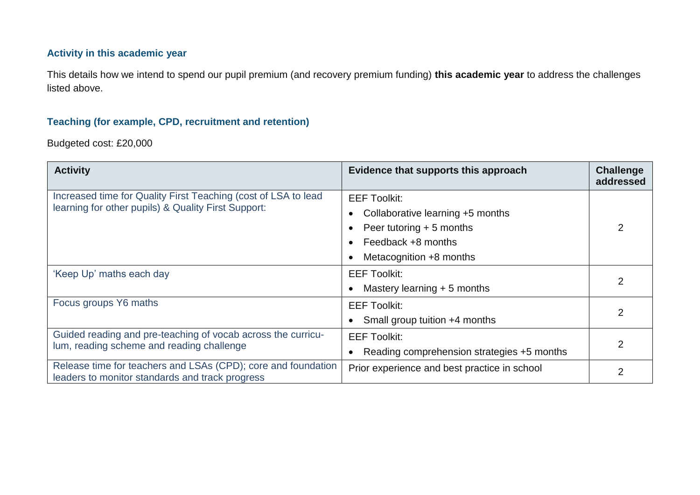## **Activity in this academic year**

This details how we intend to spend our pupil premium (and recovery premium funding) **this academic year** to address the challenges listed above.

## **Teaching (for example, CPD, recruitment and retention)**

Budgeted cost: £20,000

| <b>Activity</b>                                                                                                       | Evidence that supports this approach                    | <b>Challenge</b><br>addressed |
|-----------------------------------------------------------------------------------------------------------------------|---------------------------------------------------------|-------------------------------|
| Increased time for Quality First Teaching (cost of LSA to lead<br>learning for other pupils) & Quality First Support: | <b>EEF Toolkit:</b>                                     |                               |
|                                                                                                                       | Collaborative learning +5 months<br>$\bullet$           |                               |
|                                                                                                                       | Peer tutoring $+5$ months<br>$\bullet$                  | 2                             |
|                                                                                                                       | Feedback +8 months<br>$\bullet$                         |                               |
|                                                                                                                       | Metacognition +8 months                                 |                               |
| 'Keep Up' maths each day                                                                                              | <b>EEF Toolkit:</b>                                     |                               |
|                                                                                                                       | Mastery learning $+5$ months                            |                               |
| Focus groups Y6 maths                                                                                                 | <b>EEF Toolkit:</b>                                     |                               |
|                                                                                                                       | Small group tuition +4 months                           |                               |
| Guided reading and pre-teaching of vocab across the curricu-                                                          | <b>EEF Toolkit:</b>                                     |                               |
| lum, reading scheme and reading challenge                                                                             | Reading comprehension strategies +5 months<br>$\bullet$ |                               |
| Release time for teachers and LSAs (CPD); core and foundation<br>leaders to monitor standards and track progress      | Prior experience and best practice in school            |                               |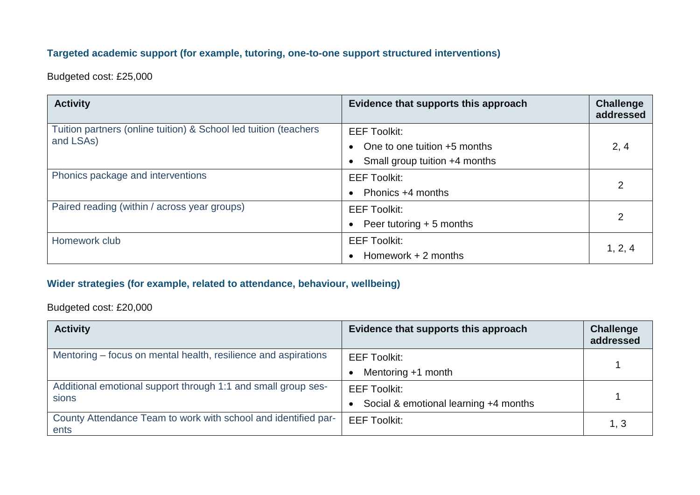## **Targeted academic support (for example, tutoring, one-to-one support structured interventions)**

Budgeted cost: £25,000

| <b>Activity</b>                                                  | Evidence that supports this approach      | <b>Challenge</b><br>addressed |
|------------------------------------------------------------------|-------------------------------------------|-------------------------------|
| Tuition partners (online tuition) & School led tuition (teachers | <b>EEF Toolkit:</b>                       |                               |
| and LSAs)                                                        | One to one tuition +5 months<br>$\bullet$ | 2, 4                          |
|                                                                  | Small group tuition +4 months             |                               |
| Phonics package and interventions                                | <b>EEF Toolkit:</b>                       |                               |
|                                                                  | Phonics +4 months<br>$\bullet$            | 2                             |
| Paired reading (within / across year groups)                     | <b>EEF Toolkit:</b>                       |                               |
|                                                                  | Peer tutoring + 5 months<br>$\bullet$     | 2                             |
| Homework club                                                    | <b>EEF Toolkit:</b>                       |                               |
|                                                                  | Homework $+2$ months<br>$\bullet$         | 1, 2, 4                       |

# **Wider strategies (for example, related to attendance, behaviour, wellbeing)**

Budgeted cost: £20,000

| <b>Activity</b>                                                        | Evidence that supports this approach               | <b>Challenge</b><br>addressed |
|------------------------------------------------------------------------|----------------------------------------------------|-------------------------------|
| Mentoring – focus on mental health, resilience and aspirations         | <b>EEF Toolkit:</b>                                |                               |
|                                                                        | Mentoring +1 month                                 |                               |
| Additional emotional support through 1:1 and small group ses-          | <b>EEF Toolkit:</b>                                |                               |
| sions                                                                  | Social & emotional learning +4 months<br>$\bullet$ |                               |
| County Attendance Team to work with school and identified par-<br>ents | <b>EEF Toolkit:</b>                                | 1, 3                          |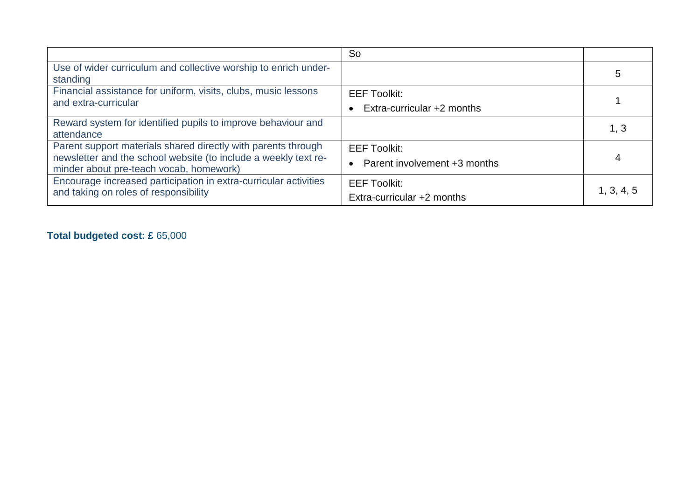|                                                                                                                                                                             | <b>So</b>                                             |            |
|-----------------------------------------------------------------------------------------------------------------------------------------------------------------------------|-------------------------------------------------------|------------|
| Use of wider curriculum and collective worship to enrich under-<br>standing                                                                                                 |                                                       | 5          |
| Financial assistance for uniform, visits, clubs, music lessons<br>and extra-curricular                                                                                      | <b>EEF Toolkit:</b><br>Extra-curricular +2 months     |            |
| Reward system for identified pupils to improve behaviour and<br>attendance                                                                                                  |                                                       | 1, 3       |
| Parent support materials shared directly with parents through<br>newsletter and the school website (to include a weekly text re-<br>minder about pre-teach vocab, homework) | <b>EEF Toolkit:</b><br>• Parent involvement +3 months |            |
| Encourage increased participation in extra-curricular activities<br>and taking on roles of responsibility                                                                   | <b>EEF Toolkit:</b><br>Extra-curricular +2 months     | 1, 3, 4, 5 |

# **Total budgeted cost: £** 65,000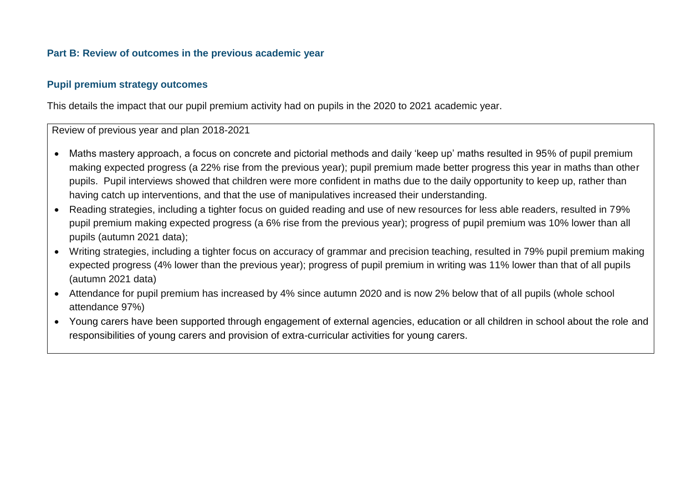#### **Part B: Review of outcomes in the previous academic year**

#### **Pupil premium strategy outcomes**

This details the impact that our pupil premium activity had on pupils in the 2020 to 2021 academic year.

Review of previous year and plan 2018-2021

- Maths mastery approach, a focus on concrete and pictorial methods and daily 'keep up' maths resulted in 95% of pupil premium making expected progress (a 22% rise from the previous year); pupil premium made better progress this year in maths than other pupils. Pupil interviews showed that children were more confident in maths due to the daily opportunity to keep up, rather than having catch up interventions, and that the use of manipulatives increased their understanding.
- Reading strategies, including a tighter focus on guided reading and use of new resources for less able readers, resulted in 79% pupil premium making expected progress (a 6% rise from the previous year); progress of pupil premium was 10% lower than all pupils (autumn 2021 data);
- Writing strategies, including a tighter focus on accuracy of grammar and precision teaching, resulted in 79% pupil premium making expected progress (4% lower than the previous year); progress of pupil premium in writing was 11% lower than that of all pupils (autumn 2021 data)
- Attendance for pupil premium has increased by 4% since autumn 2020 and is now 2% below that of all pupils (whole school attendance 97%)
- Young carers have been supported through engagement of external agencies, education or all children in school about the role and responsibilities of young carers and provision of extra-curricular activities for young carers.